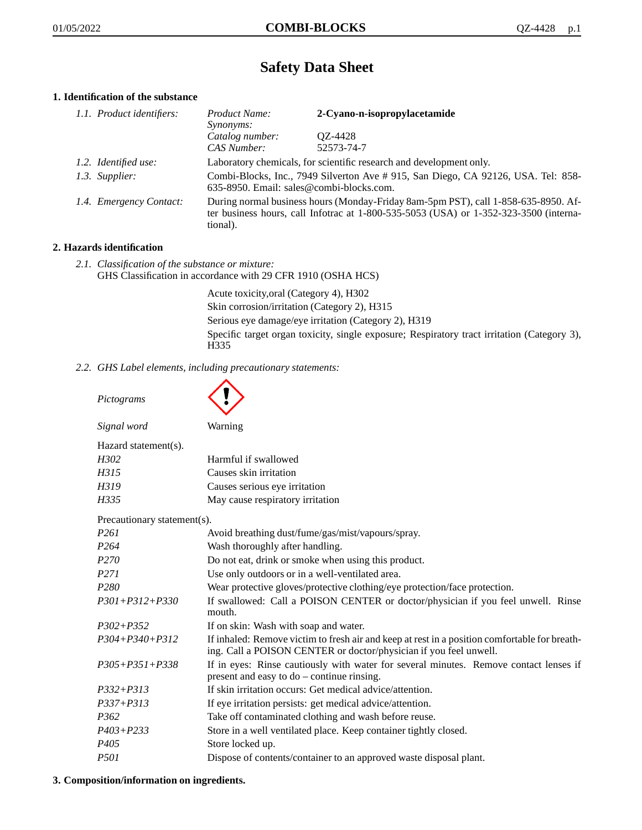# **Safety Data Sheet**

# **1. Identification of the substance**

| 1.1. Product identifiers: | Product Name:<br>Synonyms:                                                                                                                                                              | 2-Cyano-n-isopropylacetamide |
|---------------------------|-----------------------------------------------------------------------------------------------------------------------------------------------------------------------------------------|------------------------------|
|                           | Catalog number:<br>CAS Number:                                                                                                                                                          | QZ-4428<br>52573-74-7        |
| 1.2. Identified use:      | Laboratory chemicals, for scientific research and development only.                                                                                                                     |                              |
| 1.3. Supplier:            | Combi-Blocks, Inc., 7949 Silverton Ave #915, San Diego, CA 92126, USA. Tel: 858-<br>635-8950. Email: sales@combi-blocks.com.                                                            |                              |
| 1.4. Emergency Contact:   | During normal business hours (Monday-Friday 8am-5pm PST), call 1-858-635-8950. Af-<br>ter business hours, call Infotrac at 1-800-535-5053 (USA) or 1-352-323-3500 (interna-<br>tional). |                              |

# **2. Hazards identification**

*2.1. Classification of the substance or mixture:* GHS Classification in accordance with 29 CFR 1910 (OSHA HCS)

> Acute toxicity,oral (Category 4), H302 Skin corrosion/irritation (Category 2), H315 Serious eye damage/eye irritation (Category 2), H319 Specific target organ toxicity, single exposure; Respiratory tract irritation (Category 3), H335

*2.2. GHS Label elements, including precautionary statements:*

| Pictograms                  |                                                                                                                                                                    |
|-----------------------------|--------------------------------------------------------------------------------------------------------------------------------------------------------------------|
| Signal word                 | Warning                                                                                                                                                            |
| Hazard statement(s).        |                                                                                                                                                                    |
| H302                        | Harmful if swallowed                                                                                                                                               |
| H315                        | Causes skin irritation                                                                                                                                             |
| H319                        | Causes serious eye irritation                                                                                                                                      |
| H335                        | May cause respiratory irritation                                                                                                                                   |
| Precautionary statement(s). |                                                                                                                                                                    |
| P <sub>261</sub>            | Avoid breathing dust/fume/gas/mist/vapours/spray.                                                                                                                  |
| P <sub>264</sub>            | Wash thoroughly after handling.                                                                                                                                    |
| P <sub>270</sub>            | Do not eat, drink or smoke when using this product.                                                                                                                |
| P <sub>271</sub>            | Use only outdoors or in a well-ventilated area.                                                                                                                    |
| P <sub>280</sub>            | Wear protective gloves/protective clothing/eye protection/face protection.                                                                                         |
| $P301 + P312 + P330$        | If swallowed: Call a POISON CENTER or doctor/physician if you feel unwell. Rinse<br>mouth.                                                                         |
| $P302 + P352$               | If on skin: Wash with soap and water.                                                                                                                              |
| $P304 + P340 + P312$        | If inhaled: Remove victim to fresh air and keep at rest in a position comfortable for breath-<br>ing. Call a POISON CENTER or doctor/physician if you feel unwell. |
| $P305 + P351 + P338$        | If in eyes: Rinse cautiously with water for several minutes. Remove contact lenses if<br>present and easy to do – continue rinsing.                                |
| $P332 + P313$               | If skin irritation occurs: Get medical advice/attention.                                                                                                           |
| $P337 + P313$               | If eye irritation persists: get medical advice/attention.                                                                                                          |
| P <sub>362</sub>            | Take off contaminated clothing and wash before reuse.                                                                                                              |
| $P403 + P233$               | Store in a well ventilated place. Keep container tightly closed.                                                                                                   |
| P <sub>405</sub>            | Store locked up.                                                                                                                                                   |
| <i>P501</i>                 | Dispose of contents/container to an approved waste disposal plant.                                                                                                 |

# **3. Composition/information on ingredients.**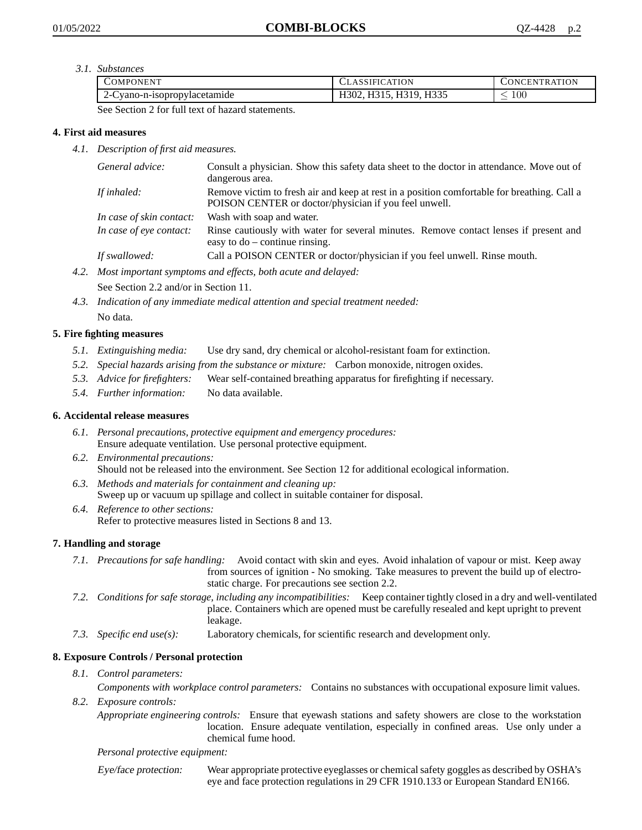*3.1. Substances*

| 'OMPONEN'                                  | <b>ATION</b>                                           | <b>\TION</b><br>'HN<br><b>INI</b><br>⊺K A |
|--------------------------------------------|--------------------------------------------------------|-------------------------------------------|
| $\sim$<br>vano-n-isopropylacetamide<br>2-C | H <sub>335</sub><br>H310<br>A302, F<br>.<br>.<br>.<br> | $100\,$                                   |

See Section 2 for full text of hazard statements.

# **4. First aid measures**

*4.1. Description of first aid measures.*

| General advice:          | Consult a physician. Show this safety data sheet to the doctor in attendance. Move out of<br>dangerous area.                                         |
|--------------------------|------------------------------------------------------------------------------------------------------------------------------------------------------|
| If inhaled:              | Remove victim to fresh air and keep at rest in a position comfortable for breathing. Call a<br>POISON CENTER or doctor/physician if you feel unwell. |
| In case of skin contact: | Wash with soap and water.                                                                                                                            |
| In case of eye contact:  | Rinse cautiously with water for several minutes. Remove contact lenses if present and<br>easy to $do$ – continue rinsing.                            |
| If swallowed:            | Call a POISON CENTER or doctor/physician if you feel unwell. Rinse mouth.                                                                            |

*4.2. Most important symptoms and effects, both acute and delayed:*

See Section 2.2 and/or in Section 11.

*4.3. Indication of any immediate medical attention and special treatment needed:* No data.

# **5. Fire fighting measures**

- *5.1. Extinguishing media:* Use dry sand, dry chemical or alcohol-resistant foam for extinction.
- *5.2. Special hazards arising from the substance or mixture:* Carbon monoxide, nitrogen oxides.
- *5.3. Advice for firefighters:* Wear self-contained breathing apparatus for firefighting if necessary.
- *5.4. Further information:* No data available.

# **6. Accidental release measures**

- *6.1. Personal precautions, protective equipment and emergency procedures:* Ensure adequate ventilation. Use personal protective equipment.
- *6.2. Environmental precautions:* Should not be released into the environment. See Section 12 for additional ecological information.
- *6.3. Methods and materials for containment and cleaning up:* Sweep up or vacuum up spillage and collect in suitable container for disposal.
- *6.4. Reference to other sections:* Refer to protective measures listed in Sections 8 and 13.

# **7. Handling and storage**

- *7.1. Precautions for safe handling:* Avoid contact with skin and eyes. Avoid inhalation of vapour or mist. Keep away from sources of ignition - No smoking. Take measures to prevent the build up of electrostatic charge. For precautions see section 2.2.
- *7.2. Conditions for safe storage, including any incompatibilities:* Keep container tightly closed in a dry and well-ventilated place. Containers which are opened must be carefully resealed and kept upright to prevent leakage.
- *7.3. Specific end use(s):* Laboratory chemicals, for scientific research and development only.

# **8. Exposure Controls / Personal protection**

- *8.1. Control parameters: Components with workplace control parameters:* Contains no substances with occupational exposure limit values.
- *8.2. Exposure controls:*

*Appropriate engineering controls:* Ensure that eyewash stations and safety showers are close to the workstation location. Ensure adequate ventilation, especially in confined areas. Use only under a chemical fume hood.

#### *Personal protective equipment:*

Eye/face protection: Wear appropriate protective eyeglasses or chemical safety goggles as described by OSHA's eye and face protection regulations in 29 CFR 1910.133 or European Standard EN166.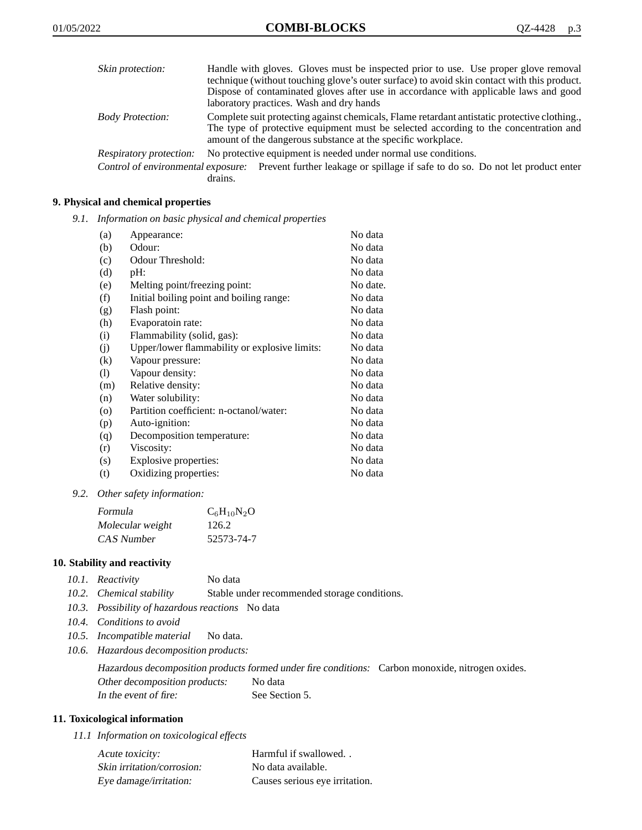| Skin protection:        | Handle with gloves. Gloves must be inspected prior to use. Use proper glove removal<br>technique (without touching glove's outer surface) to avoid skin contact with this product.<br>Dispose of contaminated gloves after use in accordance with applicable laws and good<br>laboratory practices. Wash and dry hands |
|-------------------------|------------------------------------------------------------------------------------------------------------------------------------------------------------------------------------------------------------------------------------------------------------------------------------------------------------------------|
| <b>Body Protection:</b> | Complete suit protecting against chemicals, Flame retardant antistatic protective clothing.<br>The type of protective equipment must be selected according to the concentration and<br>amount of the dangerous substance at the specific workplace.                                                                    |
| Respiratory protection: | No protective equipment is needed under normal use conditions.                                                                                                                                                                                                                                                         |
|                         | Control of environmental exposure: Prevent further leakage or spillage if safe to do so. Do not let product enter<br>drains.                                                                                                                                                                                           |

# **9. Physical and chemical properties**

*9.1. Information on basic physical and chemical properties*

| (a)                | Appearance:                                   | No data  |
|--------------------|-----------------------------------------------|----------|
| (b)                | Odour:                                        | No data  |
| (c)                | Odour Threshold:                              | No data  |
| (d)                | pH:                                           | No data  |
| (e)                | Melting point/freezing point:                 | No date. |
| (f)                | Initial boiling point and boiling range:      | No data  |
| (g)                | Flash point:                                  | No data  |
| (h)                | Evaporatoin rate:                             | No data  |
| (i)                | Flammability (solid, gas):                    | No data  |
| (j)                | Upper/lower flammability or explosive limits: | No data  |
| (k)                | Vapour pressure:                              | No data  |
| (1)                | Vapour density:                               | No data  |
| (m)                | Relative density:                             | No data  |
| (n)                | Water solubility:                             | No data  |
| $\left( 0 \right)$ | Partition coefficient: n-octanol/water:       | No data  |
| (p)                | Auto-ignition:                                | No data  |
| (q)                | Decomposition temperature:                    | No data  |
| (r)                | Viscosity:                                    | No data  |
| (s)                | Explosive properties:                         | No data  |
| (t)                | Oxidizing properties:                         | No data  |

*9.2. Other safety information:*

| Formula          | $C_6H_{10}N_2O$ |
|------------------|-----------------|
| Molecular weight | 126.2           |
| CAS Number       | 52573-74-7      |

#### **10. Stability and reactivity**

| 10.1. Reactivity | No data |
|------------------|---------|
|                  |         |

- *10.2. Chemical stability* Stable under recommended storage conditions.
- *10.3. Possibility of hazardous reactions* No data
- *10.4. Conditions to avoid*
- *10.5. Incompatible material* No data.
- *10.6. Hazardous decomposition products:*

Hazardous decomposition products formed under fire conditions: Carbon monoxide, nitrogen oxides. Other decomposition products: No data In the event of fire: See Section 5.

#### **11. Toxicological information**

*11.1 Information on toxicological effects*

| Acute toxicity:            | Harmful if swallowed           |
|----------------------------|--------------------------------|
| Skin irritation/corrosion: | No data available.             |
| Eye damage/irritation:     | Causes serious eye irritation. |